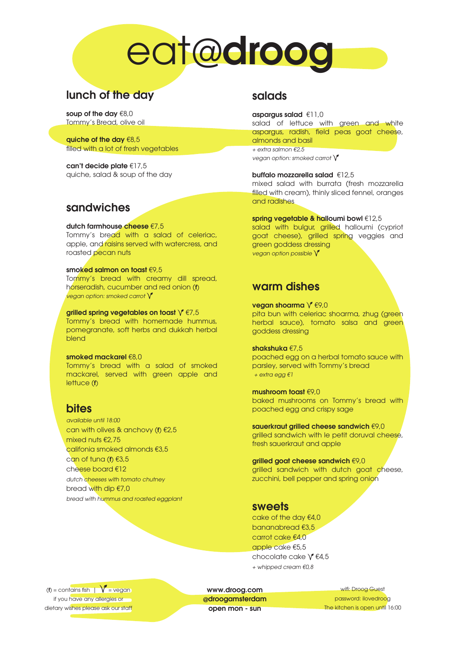# eat@droog

# lunch of the day

soup of the day €8,0 Tommy's Bread, olive oil

quiche of the day €8,5 filled with a lot of fresh vegetables

can't decide plate €17,5 quiche, salad & soup of the day

## sandwiches

#### dutch farmhouse cheese €7,5

Tommy's bread with a salad of celeriac, apple, and raisins served with watercress, and roasted pecan nuts

#### smoked salmon on toast €9,5

Tommy's bread with creamy dill spread, horseradish, cucumber and red onion (f) vegan option: smoked carrot  $\bigvee$ 

grilled spring vegetables on toast  $\sqrt{\epsilon}$ 7,5 Tommy's bread with homemade hummus, pomegranate, soft herbs and dukkah herbal blend

#### smoked mackarel €8,0

Tommy's bread with a salad of smoked mackarel, served with green apple and lettuce (f)

## bites

available until 18:00 can with olives & anchovy (f) €2,5 mixed nuts €2,75 califonia smoked almonds €3,5 can of tuna (↑ €3,5 cheese board €12 dutch cheeses with tomato chutney bread with dip €7,0 bread with hummus and roasted eggplant

## salads

aspargus salad €11,0 salad of lettuce with green and white aspargus, radish, field peas goat cheese, almonds and basil + extra salmon  $£2.5$ 

vegan option: smoked carrot  $\sqrt{\ }$ 

buffalo mozzarella salad €12,5 mixed salad with burrata (fresh mozzarella filled with cream), thinly sliced fennel, oranges and radishes

spring vegetable & halloumi bowl €12,5

salad with bulgur, grilled halloumi (cypriot goat cheese), grilled spring veggies and green goddess dressing vegan option possible  $\sqrt{\ }$ 

## warm dishes

vegan shoarma  $\sqrt[r]{\epsilon}$ 9,0 pita bun with celeriac shoarma, zhug (green herbal sauce), tomato salsa and green goddess dressing

shakshuka €7,5 poached egg on a herbal tomato sauce with parsley, served with Tommy's bread + extra egg €1

mushroom toast  $f(9,0)$ baked mushrooms on Tommy's bread with poached egg and crispy sage

sauerkraut grilled cheese sandwich €9,0 grilled sandwich with le petit doruval cheese, fresh sauerkraut and apple

grilled goat cheese sandwich €9,0 grilled sandwich with dutch goat cheese, zucchini, bell pepper and spring onion

#### sweets

cake of the day €4,0 bananabread €3,5 carrot cake €4,0 apple cake €5,5 chocolate cake  $\sqrt[e]{64,5}$ + whipped cream €0,8

(f) = contains fish  $\sqrt{\phantom{a}}$  = vegan if you have any allergies or dietary wishes please ask our staff

www.droog.com @droogamsterdam open mon - sun

wifi: Droog Guest password: ilovedroog The kitchen is open until 16:00